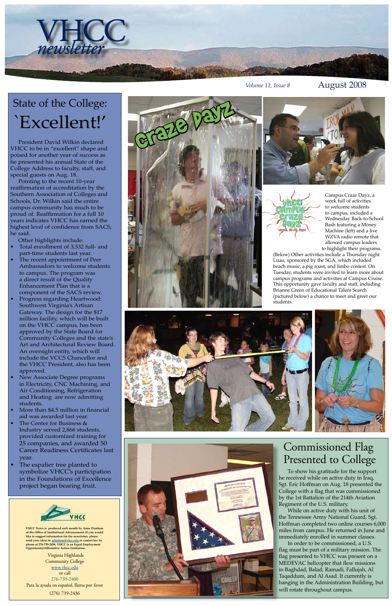Virginia Highlands Community College [www.vhcc.edu](http://www.vhcc.edu) or call 276-739-2400 Para la ayuda en español, llama por favor (276) 739-2436



**VHCC News is produced each month by Anne Dunham of the Office of Institutional Advancement. If you would like to suggest information for the newsletter, please send your ideas to [adunham@vhcc.ed](mailto:adunham@vhcc.edu)u or contact her by phone at 276-739-2456. VHCC is an Equal Employment Opportunity/Affirmative Action Institution.**

VHCC *newsletter*

*Volume 11, Issue 8* August 2008





## Commissioned Flag Presented to College

Campus Craze Dayz, a week full of activities to welcome students to campus, included a Wednesday Back-to-School Bash featuring a Money Machine (left) and a live WZVA radio remote that allowed campus leaders to highlight their programs.

(Below) Other activities include a Thursday night Luau, sponsored by the SGA, which included beach music, a pig roast, and limbo contest. On Tuesday, students were invited to learn more about campus programs and activities at Campus Cruise. This opportunity gave faculty and staff, including Brianne Green of Educational Talent Search (pictured below) a chance to meet and greet our students.









To show his gratitude for the support he received while on active duty in Iraq, Sgt. Eric Hoffman on Aug. 18 presented the College with a flag that was commissioned by the 1st Battalion of the 214th Aviation Regiment of the U.S. military.

While on active duty with his unit of the Tennessee Army National Guard, Sgt. Hoffman completed two online courses 6,000 miles from campus. He returned in June and immediately enrolled in summer classes.

In order to be commissioned, a U.S. flag must be part of a military mission. The flag presented to VHCC was present on a MEDEVAC helicopter that flew missions in Baghdad, Balad, Ramadi, Fallujah, Al Taqaddum, and Al Asad. It currently is hanging in the Administration Building, but will rotate throughout campus.

President David Wilkin declared VHCC to be in "excellent" shape and poised for another year of success as he presented his annual State of the College Address to faculty, staff, and special guests on Aug. 18.

Pointing to the recent 10-year reaffirmation of accreditation by the Southern Association of Colleges and Schools, Dr. Wilkin said the entire campus community has much to be proud of. Reaffirmation for a full 10 years indicates VHCC has earned the highest level of confidence from SACS, he said.

Other highlights include:

- Total enrollment of 3,532 full- and part-time students last year. •
- The recent appointment of Peer Ambassadors to welcome students to campus. The program was a direct result of the Quality Enhancement Plan that is a component of the SACS review. •
- Progress regarding Heartwood: Southwest Virginia's Artisan Gateway. The design for the \$17 million facility, which will be built on the VHCC campus, has been approved by the State Board for Community Colleges and the state's Art and Architectural Review Board. An oversight entity, which will include the VCCS Chancellor and the VHCC President, also has been approved. •
- New Associate Degree programs in Electricity, CNC Machining, and Air Conditioning, Refrigeration and Heating are now admitting students. •
- More than \$4.5 million in financial aid was awarded last year. •
- The Center for Business & Industry served 2,866 students, provided customized training for 25 companies, and awarded 50 Career Readiness Certificates last year. The espalier tree planted to symbolize VHCC's participation in the Foundations of Excellence project began bearing fruit. • •

State of the College: `Excellent!'